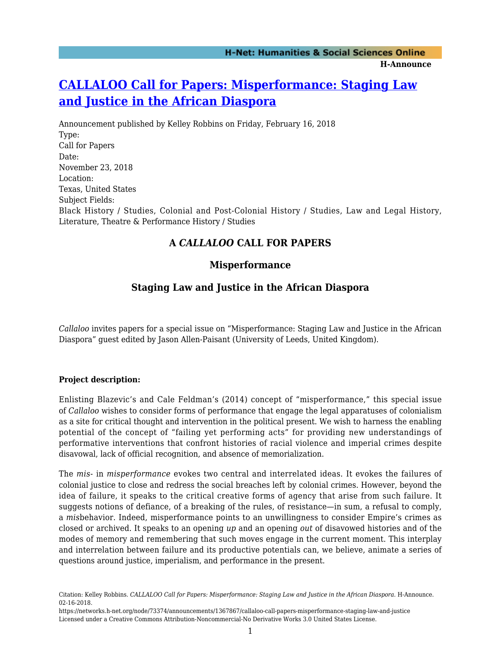# **[CALLALOO Call for Papers: Misperformance: Staging Law](https://networks.h-net.org/node/73374/announcements/1367867/callaloo-call-papers-misperformance-staging-law-and-justice) [and Justice in the African Diaspora](https://networks.h-net.org/node/73374/announcements/1367867/callaloo-call-papers-misperformance-staging-law-and-justice)**

Announcement published by Kelley Robbins on Friday, February 16, 2018 Type: Call for Papers Date: November 23, 2018 Location: Texas, United States Subject Fields: Black History / Studies, Colonial and Post-Colonial History / Studies, Law and Legal History, Literature, Theatre & Performance History / Studies

## **A** *CALLALOO* **CALL FOR PAPERS**

## **Misperformance**

## **Staging Law and Justice in the African Diaspora**

*Callaloo* invites papers for a special issue on "Misperformance: Staging Law and Justice in the African Diaspora" guest edited by Jason Allen-Paisant (University of Leeds, United Kingdom).

### **Project description:**

Enlisting Blazevic's and Cale Feldman's (2014) concept of "misperformance," this special issue of *Callaloo* wishes to consider forms of performance that engage the legal apparatuses of colonialism as a site for critical thought and intervention in the political present. We wish to harness the enabling potential of the concept of "failing yet performing acts" for providing new understandings of performative interventions that confront histories of racial violence and imperial crimes despite disavowal, lack of official recognition, and absence of memorialization.

The *mis-* in *misperformance* evokes two central and interrelated ideas. It evokes the failures of colonial justice to close and redress the social breaches left by colonial crimes. However, beyond the idea of failure, it speaks to the critical creative forms of agency that arise from such failure. It suggests notions of defiance, of a breaking of the rules, of resistance—in sum, a refusal to comply, a *mis*behavior. Indeed, misperformance points to an unwillingness to consider Empire's crimes as closed or archived. It speaks to an opening *up* and an opening *out* of disavowed histories and of the modes of memory and remembering that such moves engage in the current moment. This interplay and interrelation between failure and its productive potentials can, we believe, animate a series of questions around justice, imperialism, and performance in the present.

Citation: Kelley Robbins. *CALLALOO Call for Papers: Misperformance: Staging Law and Justice in the African Diaspora*. H-Announce. 02-16-2018.

https://networks.h-net.org/node/73374/announcements/1367867/callaloo-call-papers-misperformance-staging-law-and-justice Licensed under a Creative Commons Attribution-Noncommercial-No Derivative Works 3.0 United States License.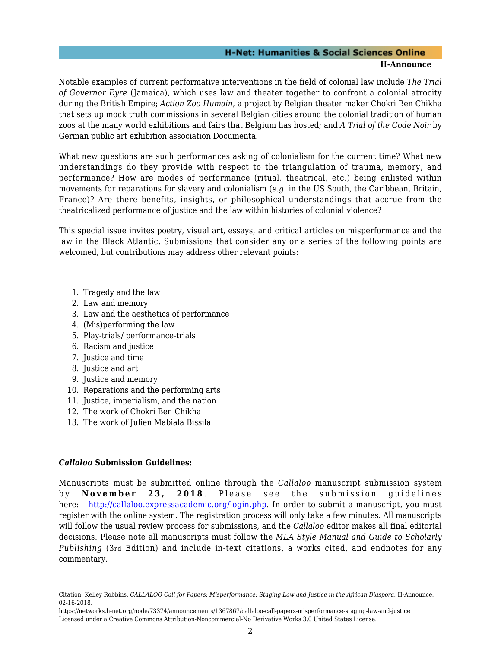#### **H-Net: Humanities & Social Sciences Online H-Announce**

Notable examples of current performative interventions in the field of colonial law include *The Trial of Governor Eyre* (Jamaica), which uses law and theater together to confront a colonial atrocity during the British Empire; *Action Zoo Humain*, a project by Belgian theater maker Chokri Ben Chikha that sets up mock truth commissions in several Belgian cities around the colonial tradition of human zoos at the many world exhibitions and fairs that Belgium has hosted; and *A Trial of the Code Noir* by German public art exhibition association Documenta.

What new questions are such performances asking of colonialism for the current time? What new understandings do they provide with respect to the triangulation of trauma, memory, and performance? How are modes of performance (ritual, theatrical, etc.) being enlisted within movements for reparations for slavery and colonialism (*e.g.* in the US South, the Caribbean, Britain, France)? Are there benefits, insights, or philosophical understandings that accrue from the theatricalized performance of justice and the law within histories of colonial violence?

This special issue invites poetry, visual art, essays, and critical articles on misperformance and the law in the Black Atlantic. Submissions that consider any or a series of the following points are welcomed, but contributions may address other relevant points:

- 1. Tragedy and the law
- 2. Law and memory
- 3. Law and the aesthetics of performance
- 4. (Mis)performing the law
- 5. Play-trials/ performance-trials
- 6. Racism and justice
- 7. Justice and time
- 8. Justice and art
- 9. Justice and memory
- 10. Reparations and the performing arts
- 11. Justice, imperialism, and the nation
- 12. The work of Chokri Ben Chikha
- 13. The work of Julien Mabiala Bissila

#### *Callaloo* **Submission Guidelines:**

Manuscripts must be submitted online through the *Callaloo* manuscript submission system by **November 23, 2018** . Please see the submission guidelines here: [http://callaloo.expressacademic.org/login.php.](http://callaloo.expressacademic.org/login.php) In order to submit a manuscript, you must register with the online system. The registration process will only take a few minutes. All manuscripts will follow the usual review process for submissions, and the *Callaloo* editor makes all final editorial decisions. Please note all manuscripts must follow the *MLA Style Manual and Guide to Scholarly Publishing* (3rd Edition) and include in-text citations, a works cited, and endnotes for any commentary.

Citation: Kelley Robbins. *CALLALOO Call for Papers: Misperformance: Staging Law and Justice in the African Diaspora*. H-Announce. 02-16-2018.

https://networks.h-net.org/node/73374/announcements/1367867/callaloo-call-papers-misperformance-staging-law-and-justice Licensed under a Creative Commons Attribution-Noncommercial-No Derivative Works 3.0 United States License.